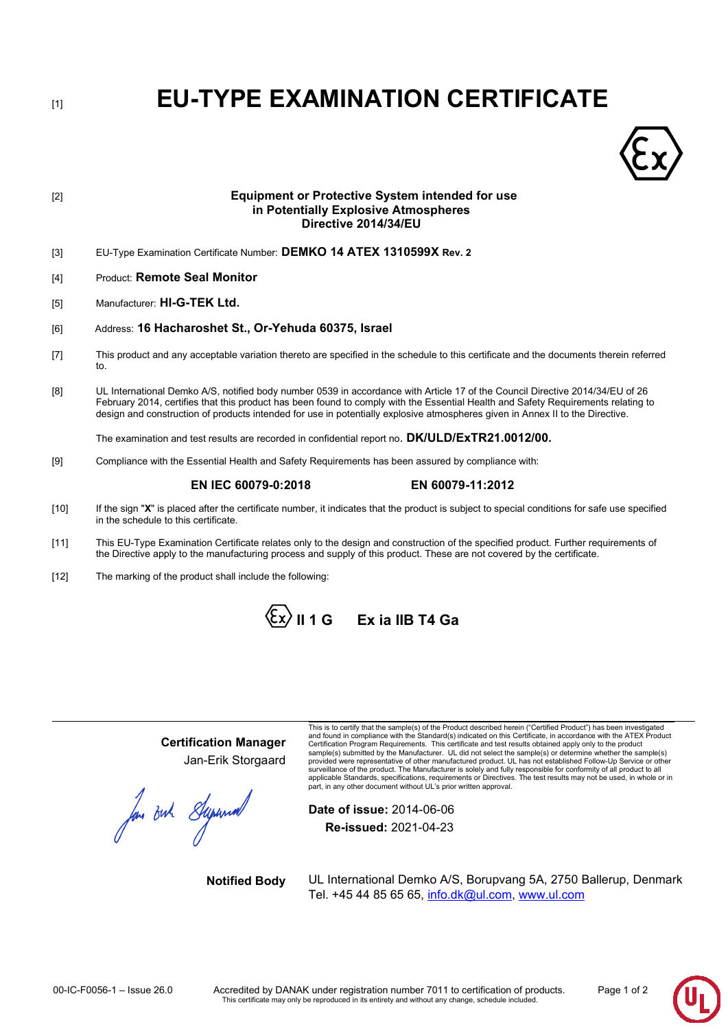[1] **EU-TYPE EXAMINATION CERTIFICATE**



# [2] **Equipment or Protective System intended for use in Potentially Explosive Atmospheres Directive 2014/34/EU**

- [3] EU-Type Examination Certificate Number: **DEMKO 14 ATEX 1310599X Rev. 2**
- [4] Product: **Remote Seal Monitor**
- [5] Manufacturer: **HI-G-TEK Ltd.**
- [6] Address: **16 Hacharoshet St., Or-Yehuda 60375, Israel**
- [7] This product and any acceptable variation thereto are specified in the schedule to this certificate and the documents therein referred to.
- [8] UL International Demko A/S, notified body number 0539 in accordance with Article 17 of the Council Directive 2014/34/EU of 26 February 2014, certifies that this product has been found to comply with the Essential Health and Safety Requirements relating to design and construction of products intended for use in potentially explosive atmospheres given in Annex II to the Directive.

The examination and test results are recorded in confidential report no. **DK/ULD/ExTR21.0012/00.**

[9] Compliance with the Essential Health and Safety Requirements has been assured by compliance with:

## **EN IEC 60079-0:2018 EN 60079-11:2012**

- [10] If the sign "X" is placed after the certificate number, it indicates that the product is subject to special conditions for safe use specified in the schedule to this certificate.
- [11] This EU-Type Examination Certificate relates only to the design and construction of the specified product. Further requirements of the Directive apply to the manufacturing process and supply of this product. These are not covered by the certificate.
- [12] The marking of the product shall include the following:



# **Certification Manager** Jan-Erik Storgaard

for out Supermont

This is to certify that the sample(s) of the Product described herein ("Certified Product") has been investigated and found in compliance with the Standard(s) indicated on this Certificate, in accordance with the ATEX Producl<br>Certification Program Requirements. This certificate and test results obtained apply only to the product<br>samp provided were representative of other manufactured product. UL has not established Follow-Up Service or other surveillance of the product. The Manufacturer is solely and fully responsible for conformity of all product to all<br>applicable Standards, specifications, requirements or Directives. The test results may not be used, in whol

**Date of issue:** 2014-06-06 **Re-issued:** 2021-04-23

**Notified Body** UL International Demko A/S, Borupvang 5A, 2750 Ballerup, Denmark Tel. +45 44 85 65 65, [info.dk@ul.com,](mailto:info.dk@ul.com) [www.ul.com](http://www.ul.com/)